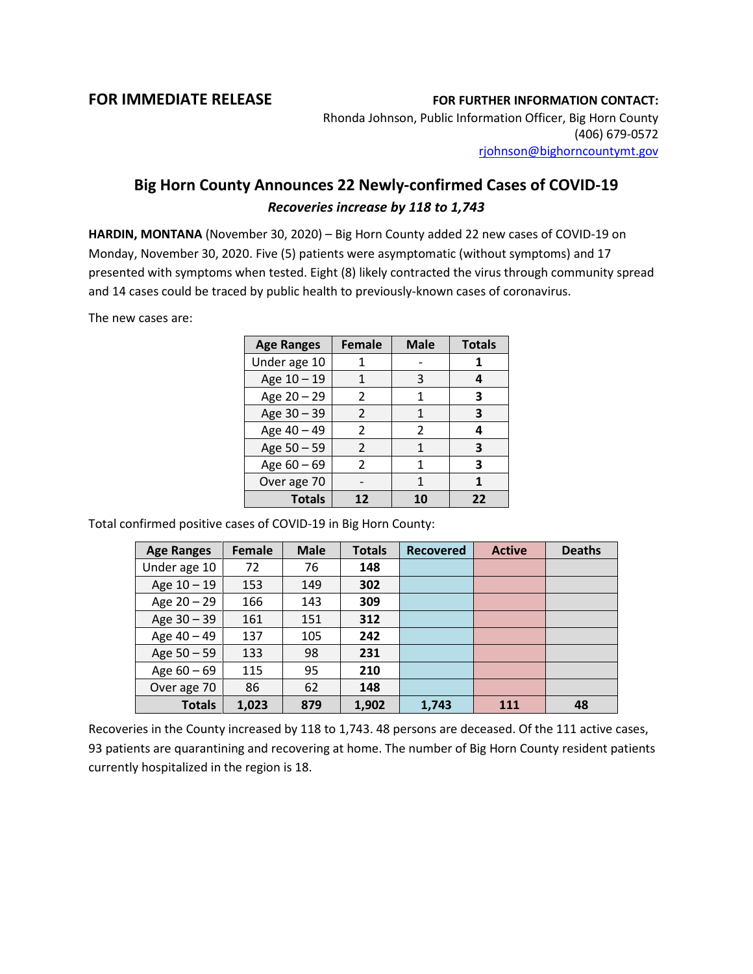## **FOR IMMEDIATE RELEASE FOR FURTHER INFORMATION CONTACT:**

Rhonda Johnson, Public Information Officer, Big Horn County (406) 679-0572 [rjohnson@bighorncountymt.gov](mailto:rjohnson@bighorncountymt.gov)

## **Big Horn County Announces 22 Newly-confirmed Cases of COVID-19** *Recoveries increase by 118 to 1,743*

**HARDIN, MONTANA** (November 30, 2020) – Big Horn County added 22 new cases of COVID-19 on Monday, November 30, 2020. Five (5) patients were asymptomatic (without symptoms) and 17 presented with symptoms when tested. Eight (8) likely contracted the virus through community spread and 14 cases could be traced by public health to previously-known cases of coronavirus.

The new cases are:

| <b>Age Ranges</b> | <b>Female</b> | <b>Male</b> | <b>Totals</b> |
|-------------------|---------------|-------------|---------------|
| Under age 10      |               |             |               |
| Age 10 - 19       |               | 3           | 4             |
| Age 20 - 29       | $\mathcal{P}$ | 1           | 3             |
| Age 30 - 39       | $\mathcal{P}$ | 1           | 3             |
| Age 40 - 49       | $\mathcal{P}$ | 2           | 4             |
| Age 50 - 59       | $\mathcal{P}$ | 1           | 3             |
| Age $60 - 69$     | $\mathcal{P}$ | 1           | 3             |
| Over age 70       |               |             | 1             |
| <b>Totals</b>     | 12            |             | 22            |

Total confirmed positive cases of COVID-19 in Big Horn County:

| <b>Age Ranges</b> | <b>Female</b> | <b>Male</b> | <b>Totals</b> | <b>Recovered</b> | <b>Active</b> | <b>Deaths</b> |
|-------------------|---------------|-------------|---------------|------------------|---------------|---------------|
| Under age 10      | 72            | 76          | 148           |                  |               |               |
| Age $10 - 19$     | 153           | 149         | 302           |                  |               |               |
| Age 20 - 29       | 166           | 143         | 309           |                  |               |               |
| Age 30 - 39       | 161           | 151         | 312           |                  |               |               |
| Age 40 - 49       | 137           | 105         | 242           |                  |               |               |
| Age $50 - 59$     | 133           | 98          | 231           |                  |               |               |
| Age $60 - 69$     | 115           | 95          | 210           |                  |               |               |
| Over age 70       | 86            | 62          | 148           |                  |               |               |
| <b>Totals</b>     | 1,023         | 879         | 1,902         | 1,743            | 111           | 48            |

Recoveries in the County increased by 118 to 1,743. 48 persons are deceased. Of the 111 active cases, 93 patients are quarantining and recovering at home. The number of Big Horn County resident patients currently hospitalized in the region is 18.